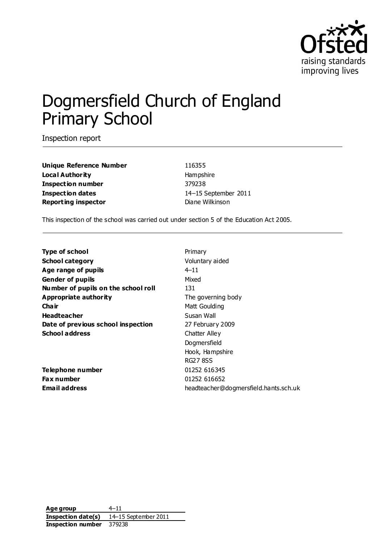

# Dogmersfield Church of England Primary School

Inspection report

**Unique Reference Number** 116355 **Local Authority Hampshire Inspection number** 379238 **Inspection dates** 14–15 September 2011 **Reporting inspector Diane Wilkinson** 

This inspection of the school was carried out under section 5 of the Education Act 2005.

| <b>Type of school</b>               | Primary                               |
|-------------------------------------|---------------------------------------|
| <b>School category</b>              | Voluntary aided                       |
| Age range of pupils                 | $4 - 11$                              |
| Gender of pupils                    | Mixed                                 |
| Number of pupils on the school roll | 131                                   |
| <b>Appropriate authority</b>        | The governing body                    |
| Cha ir                              | Matt Goulding                         |
| <b>Headteacher</b>                  | Susan Wall                            |
| Date of previous school inspection  | 27 February 2009                      |
| <b>School address</b>               | Chatter Alley                         |
|                                     | Dogmersfield                          |
|                                     | Hook, Hampshire                       |
|                                     | <b>RG27 8SS</b>                       |
| Telephone number                    | 01252 616345                          |
| Fax number                          | 01252 616652                          |
| <b>Email address</b>                | headteacher@dogmersfield.hants.sch.uk |
|                                     |                                       |

**Age group** 4–11 **Inspection date(s)** 14–15 September 2011 **Inspection number** 379238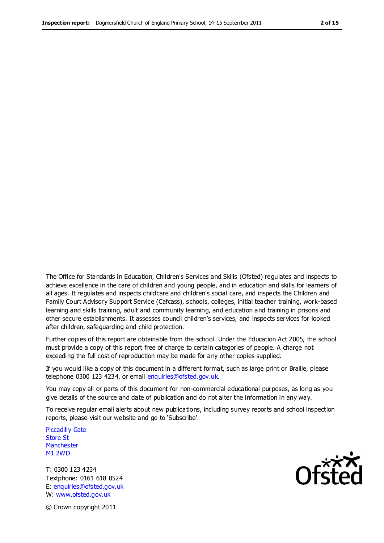The Office for Standards in Education, Children's Services and Skills (Ofsted) regulates and inspects to achieve excellence in the care of children and young people, and in education and skills for learners of all ages. It regulates and inspects childcare and children's social care, and inspects the Children and Family Court Advisory Support Service (Cafcass), schools, colleges, initial teacher training, work-based learning and skills training, adult and community learning, and education and training in prisons and other secure establishments. It assesses council children's services, and inspects services for looked after children, safeguarding and child protection.

Further copies of this report are obtainable from the school. Under the Education Act 2005, the school must provide a copy of this report free of charge to certain categories of people. A charge not exceeding the full cost of reproduction may be made for any other copies supplied.

If you would like a copy of this document in a different format, such as large print or Braille, please telephone 0300 123 4234, or email enquiries@ofsted.gov.uk.

You may copy all or parts of this document for non-commercial educational purposes, as long as you give details of the source and date of publication and do not alter the information in any way.

To receive regular email alerts about new publications, including survey reports and school inspection reports, please visit our website and go to 'Subscribe'.

Piccadilly Gate Store St **Manchester** M1 2WD

T: 0300 123 4234 Textphone: 0161 618 8524 E: enquiries@ofsted.gov.uk W: www.ofsted.gov.uk

**Ofsted** 

© Crown copyright 2011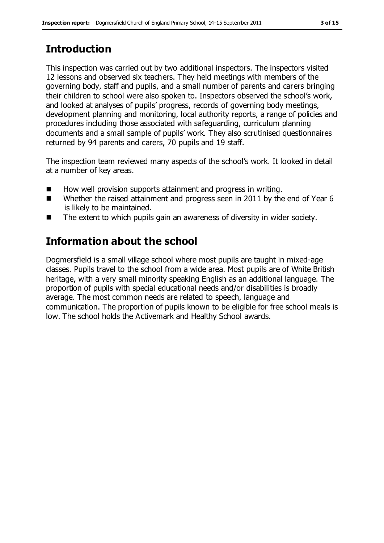# **Introduction**

This inspection was carried out by two additional inspectors. The inspectors visited 12 lessons and observed six teachers. They held meetings with members of the governing body, staff and pupils, and a small number of parents and carers bringing their children to school were also spoken to. Inspectors observed the school's work, and looked at analyses of pupils' progress, records of governing body meetings, development planning and monitoring, local authority reports, a range of policies and procedures including those associated with safeguarding, curriculum planning documents and a small sample of pupils' work. They also scrutinised questionnaires returned by 94 parents and carers, 70 pupils and 19 staff.

The inspection team reviewed many aspects of the school's work. It looked in detail at a number of key areas.

- How well provision supports attainment and progress in writing.
- Whether the raised attainment and progress seen in 2011 by the end of Year 6 is likely to be maintained.
- The extent to which pupils gain an awareness of diversity in wider society.

# **Information about the school**

Dogmersfield is a small village school where most pupils are taught in mixed-age classes. Pupils travel to the school from a wide area. Most pupils are of White British heritage, with a very small minority speaking English as an additional language. The proportion of pupils with special educational needs and/or disabilities is broadly average. The most common needs are related to speech, language and communication. The proportion of pupils known to be eligible for free school meals is low. The school holds the Activemark and Healthy School awards.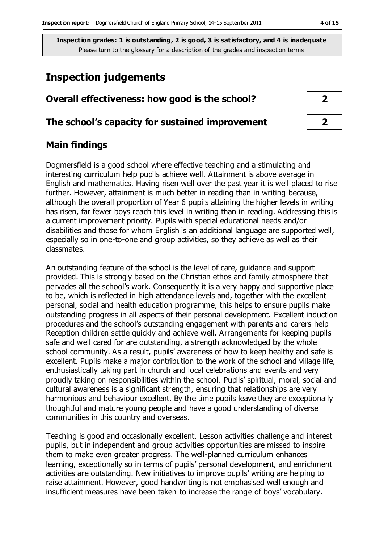## **Inspection judgements**

## **Overall effectiveness: how good is the school? 2**

#### **The school's capacity for sustained improvement 2**

## **Main findings**

Dogmersfield is a good school where effective teaching and a stimulating and interesting curriculum help pupils achieve well. Attainment is above average in English and mathematics. Having risen well over the past year it is well placed to rise further. However, attainment is much better in reading than in writing because, although the overall proportion of Year 6 pupils attaining the higher levels in writing has risen, far fewer boys reach this level in writing than in reading. Addressing this is a current improvement priority. Pupils with special educational needs and/or disabilities and those for whom English is an additional language are supported well, especially so in one-to-one and group activities, so they achieve as well as their classmates.

An outstanding feature of the school is the level of care, guidance and support provided. This is strongly based on the Christian ethos and family atmosphere that pervades all the school's work. Consequently it is a very happy and supportive place to be, which is reflected in high attendance levels and, together with the excellent personal, social and health education programme, this helps to ensure pupils make outstanding progress in all aspects of their personal development. Excellent induction procedures and the school's outstanding engagement with parents and carers help Reception children settle quickly and achieve well. Arrangements for keeping pupils safe and well cared for are outstanding, a strength acknowledged by the whole school community. As a result, pupils' awareness of how to keep healthy and safe is excellent. Pupils make a major contribution to the work of the school and village life, enthusiastically taking part in church and local celebrations and events and very proudly taking on responsibilities within the school. Pupils' spiritual, moral, social and cultural awareness is a significant strength, ensuring that relationships are very harmonious and behaviour excellent. By the time pupils leave they are exceptionally thoughtful and mature young people and have a good understanding of diverse communities in this country and overseas.

Teaching is good and occasionally excellent. Lesson activities challenge and interest pupils, but in independent and group activities opportunities are missed to inspire them to make even greater progress. The well-planned curriculum enhances learning, exceptionally so in terms of pupils' personal development, and enrichment activities are outstanding. New initiatives to improve pupils' writing are helping to raise attainment. However, good handwriting is not emphasised well enough and insufficient measures have been taken to increase the range of boys' vocabulary.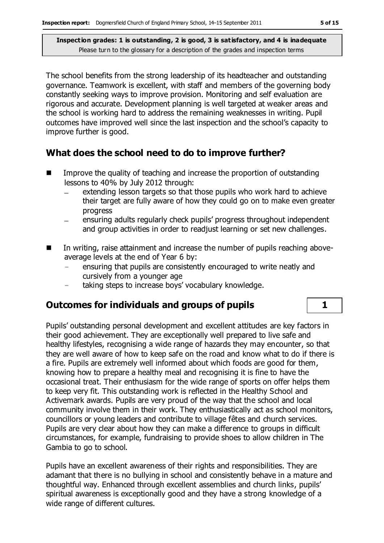The school benefits from the strong leadership of its headteacher and outstanding governance. Teamwork is excellent, with staff and members of the governing body constantly seeking ways to improve provision. Monitoring and self evaluation are rigorous and accurate. Development planning is well targeted at weaker areas and the school is working hard to address the remaining weaknesses in writing. Pupil outcomes have improved well since the last inspection and the school's capacity to improve further is good.

## **What does the school need to do to improve further?**

- $\blacksquare$  Improve the quality of teaching and increase the proportion of outstanding lessons to 40% by July 2012 through:
	- extending lesson targets so that those pupils who work hard to achieve their target are fully aware of how they could go on to make even greater progress
	- ensuring adults regularly check pupils' progress throughout independent and group activities in order to readjust learning or set new challenges.
- In writing, raise attainment and increase the number of pupils reaching aboveaverage levels at the end of Year 6 by:
	- ensuring that pupils are consistently encouraged to write neatly and cursively from a younger age
	- − taking steps to increase boys' vocabulary knowledge.

## **Outcomes for individuals and groups of pupils 1**

Pupils' outstanding personal development and excellent attitudes are key factors in their good achievement. They are exceptionally well prepared to live safe and healthy lifestyles, recognising a wide range of hazards they may encounter, so that they are well aware of how to keep safe on the road and know what to do if there is a fire. Pupils are extremely well informed about which foods are good for them, knowing how to prepare a healthy meal and recognising it is fine to have the occasional treat. Their enthusiasm for the wide range of sports on offer helps them to keep very fit. This outstanding work is reflected in the Healthy School and Activemark awards. Pupils are very proud of the way that the school and local community involve them in their work. They enthusiastically act as school monitors, councillors or young leaders and contribute to village fêtes and church services. Pupils are very clear about how they can make a difference to groups in difficult circumstances, for example, fundraising to provide shoes to allow children in The Gambia to go to school.

Pupils have an excellent awareness of their rights and responsibilities. They are adamant that there is no bullying in school and consistently behave in a mature and thoughtful way. Enhanced through excellent assemblies and church links, pupils' spiritual awareness is exceptionally good and they have a strong knowledge of a wide range of different cultures.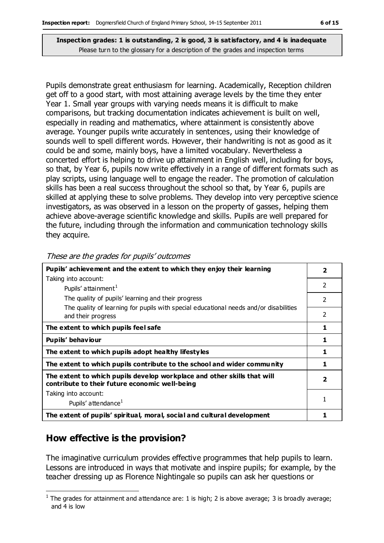Pupils demonstrate great enthusiasm for learning. Academically, Reception children get off to a good start, with most attaining average levels by the time they enter Year 1. Small year groups with varying needs means it is difficult to make comparisons, but tracking documentation indicates achievement is built on well, especially in reading and mathematics, where attainment is consistently above average. Younger pupils write accurately in sentences, using their knowledge of sounds well to spell different words. However, their handwriting is not as good as it could be and some, mainly boys, have a limited vocabulary. Nevertheless a concerted effort is helping to drive up attainment in English well, including for boys, so that, by Year 6, pupils now write effectively in a range of different formats such as play scripts, using language well to engage the reader. The promotion of calculation skills has been a real success throughout the school so that, by Year 6, pupils are skilled at applying these to solve problems. They develop into very perceptive science investigators, as was observed in a lesson on the property of gasses, helping them achieve above-average scientific knowledge and skills. Pupils are well prepared for the future, including through the information and communication technology skills they acquire.

| Pupils' achievement and the extent to which they enjoy their learning                                                     |                          |  |
|---------------------------------------------------------------------------------------------------------------------------|--------------------------|--|
| Taking into account:                                                                                                      |                          |  |
| Pupils' attainment <sup>1</sup>                                                                                           | $\mathcal{P}$            |  |
| The quality of pupils' learning and their progress                                                                        | $\overline{\phantom{a}}$ |  |
| The quality of learning for pupils with special educational needs and/or disabilities<br>and their progress               | $\mathcal{P}$            |  |
| The extent to which pupils feel safe                                                                                      |                          |  |
| Pupils' behaviour                                                                                                         |                          |  |
| The extent to which pupils adopt healthy lifestyles                                                                       |                          |  |
| The extent to which pupils contribute to the school and wider community                                                   |                          |  |
| The extent to which pupils develop workplace and other skills that will<br>contribute to their future economic well-being | $\overline{\mathbf{2}}$  |  |
| Taking into account:                                                                                                      |                          |  |
| Pupils' attendance <sup>1</sup>                                                                                           |                          |  |
| The extent of pupils' spiritual, moral, social and cultural development                                                   |                          |  |

These are the grades for pupils' outcomes

## **How effective is the provision?**

The imaginative curriculum provides effective programmes that help pupils to learn. Lessons are introduced in ways that motivate and inspire pupils; for example, by the teacher dressing up as Florence Nightingale so pupils can ask her questions or

 $\overline{a}$ <sup>1</sup> The grades for attainment and attendance are: 1 is high; 2 is above average; 3 is broadly average; and 4 is low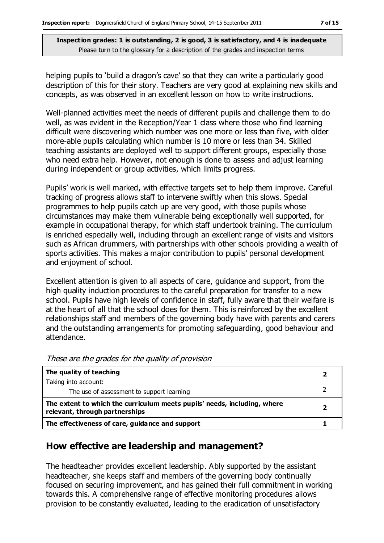helping pupils to 'build a dragon's cave' so that they can write a particularly good description of this for their story. Teachers are very good at explaining new skills and concepts, as was observed in an excellent lesson on how to write instructions.

Well-planned activities meet the needs of different pupils and challenge them to do well, as was evident in the Reception/Year 1 class where those who find learning difficult were discovering which number was one more or less than five, with older more-able pupils calculating which number is 10 more or less than 34. Skilled teaching assistants are deployed well to support different groups, especially those who need extra help. However, not enough is done to assess and adjust learning during independent or group activities, which limits progress.

Pupils' work is well marked, with effective targets set to help them improve. Careful tracking of progress allows staff to intervene swiftly when this slows. Special programmes to help pupils catch up are very good, with those pupils whose circumstances may make them vulnerable being exceptionally well supported, for example in occupational therapy, for which staff undertook training. The curriculum is enriched especially well, including through an excellent range of visits and visitors such as African drummers, with partnerships with other schools providing a wealth of sports activities. This makes a major contribution to pupils' personal development and enjoyment of school.

Excellent attention is given to all aspects of care, guidance and support, from the high quality induction procedures to the careful preparation for transfer to a new school. Pupils have high levels of confidence in staff, fully aware that their welfare is at the heart of all that the school does for them. This is reinforced by the excellent relationships staff and members of the governing body have with parents and carers and the outstanding arrangements for promoting safeguarding, good behaviour and attendance.

| The quality of teaching                                                                                    |  |
|------------------------------------------------------------------------------------------------------------|--|
| Taking into account:                                                                                       |  |
| The use of assessment to support learning                                                                  |  |
| The extent to which the curriculum meets pupils' needs, including, where<br>relevant, through partnerships |  |
| The effectiveness of care, guidance and support                                                            |  |

These are the grades for the quality of provision

#### **How effective are leadership and management?**

The headteacher provides excellent leadership. Ably supported by the assistant headteacher, she keeps staff and members of the governing body continually focused on securing improvement, and has gained their full commitment in working towards this. A comprehensive range of effective monitoring procedures allows provision to be constantly evaluated, leading to the eradication of unsatisfactory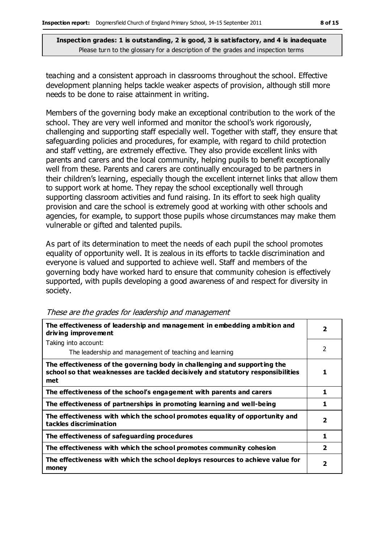teaching and a consistent approach in classrooms throughout the school. Effective development planning helps tackle weaker aspects of provision, although still more needs to be done to raise attainment in writing.

Members of the governing body make an exceptional contribution to the work of the school. They are very well informed and monitor the school's work rigorously, challenging and supporting staff especially well. Together with staff, they ensure that safeguarding policies and procedures, for example, with regard to child protection and staff vetting, are extremely effective. They also provide excellent links with parents and carers and the local community, helping pupils to benefit exceptionally well from these. Parents and carers are continually encouraged to be partners in their children's learning, especially though the excellent internet links that allow them to support work at home. They repay the school exceptionally well through supporting classroom activities and fund raising. In its effort to seek high quality provision and care the school is extremely good at working with other schools and agencies, for example, to support those pupils whose circumstances may make them vulnerable or gifted and talented pupils.

As part of its determination to meet the needs of each pupil the school promotes equality of opportunity well. It is zealous in its efforts to tackle discrimination and everyone is valued and supported to achieve well. Staff and members of the governing body have worked hard to ensure that community cohesion is effectively supported, with pupils developing a good awareness of and respect for diversity in society.

| The effectiveness of leadership and management in embedding ambition and<br>driving improvement                                                                     |                |  |
|---------------------------------------------------------------------------------------------------------------------------------------------------------------------|----------------|--|
| Taking into account:                                                                                                                                                |                |  |
| The leadership and management of teaching and learning                                                                                                              | 2              |  |
| The effectiveness of the governing body in challenging and supporting the<br>school so that weaknesses are tackled decisively and statutory responsibilities<br>met |                |  |
| The effectiveness of the school's engagement with parents and carers                                                                                                | 1              |  |
| The effectiveness of partnerships in promoting learning and well-being                                                                                              | 1              |  |
| The effectiveness with which the school promotes equality of opportunity and<br>tackles discrimination                                                              | $\overline{2}$ |  |
| The effectiveness of safeguarding procedures                                                                                                                        | 1              |  |
| The effectiveness with which the school promotes community cohesion                                                                                                 | 2              |  |
| The effectiveness with which the school deploys resources to achieve value for<br>money                                                                             | 2              |  |

These are the grades for leadership and management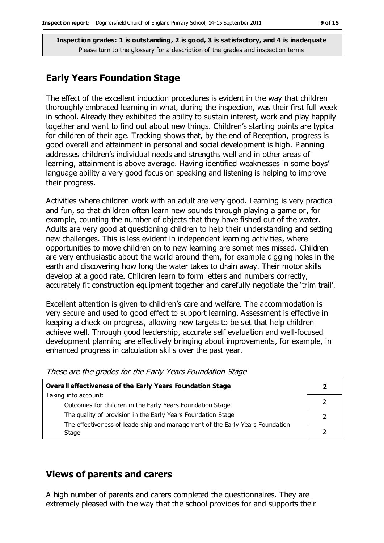## **Early Years Foundation Stage**

The effect of the excellent induction procedures is evident in the way that children thoroughly embraced learning in what, during the inspection, was their first full week in school. Already they exhibited the ability to sustain interest, work and play happily together and want to find out about new things. Children's starting points are typical for children of their age. Tracking shows that, by the end of Reception, progress is good overall and attainment in personal and social development is high. Planning addresses children's individual needs and strengths well and in other areas of learning, attainment is above average. Having identified weaknesses in some boys' language ability a very good focus on speaking and listening is helping to improve their progress.

Activities where children work with an adult are very good. Learning is very practical and fun, so that children often learn new sounds through playing a game or, for example, counting the number of objects that they have fished out of the water. Adults are very good at questioning children to help their understanding and setting new challenges. This is less evident in independent learning activities, where opportunities to move children on to new learning are sometimes missed. Children are very enthusiastic about the world around them, for example digging holes in the earth and discovering how long the water takes to drain away. Their motor skills develop at a good rate. Children learn to form letters and numbers correctly, accurately fit construction equipment together and carefully negotiate the 'trim trail'.

Excellent attention is given to children's care and welfare. The accommodation is very secure and used to good effect to support learning. Assessment is effective in keeping a check on progress, allowing new targets to be set that help children achieve well. Through good leadership, accurate self evaluation and well-focused development planning are effectively bringing about improvements, for example, in enhanced progress in calculation skills over the past year.

| <b>Overall effectiveness of the Early Years Foundation Stage</b>             |  |  |
|------------------------------------------------------------------------------|--|--|
| Taking into account:                                                         |  |  |
| Outcomes for children in the Early Years Foundation Stage                    |  |  |
| The quality of provision in the Early Years Foundation Stage                 |  |  |
| The effectiveness of leadership and management of the Early Years Foundation |  |  |
| Stage                                                                        |  |  |

#### These are the grades for the Early Years Foundation Stage

## **Views of parents and carers**

A high number of parents and carers completed the questionnaires. They are extremely pleased with the way that the school provides for and supports their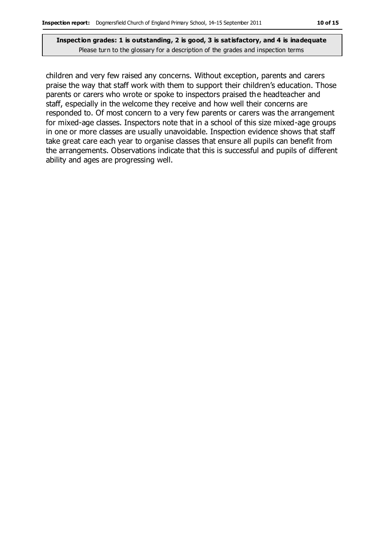children and very few raised any concerns. Without exception, parents and carers praise the way that staff work with them to support their children's education. Those parents or carers who wrote or spoke to inspectors praised the headteacher and staff, especially in the welcome they receive and how well their concerns are responded to. Of most concern to a very few parents or carers was the arrangement for mixed-age classes. Inspectors note that in a school of this size mixed-age groups in one or more classes are usually unavoidable. Inspection evidence shows that staff take great care each year to organise classes that ensure all pupils can benefit from the arrangements. Observations indicate that this is successful and pupils of different ability and ages are progressing well.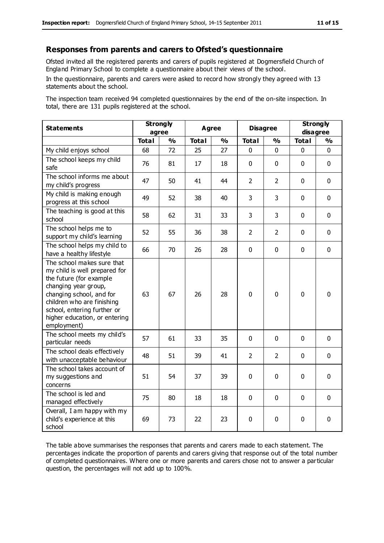#### **Responses from parents and carers to Ofsted's questionnaire**

Ofsted invited all the registered parents and carers of pupils registered at Dogmersfield Church of England Primary School to complete a questionnaire about their views of the school.

In the questionnaire, parents and carers were asked to record how strongly they agreed with 13 statements about the school.

The inspection team received 94 completed questionnaires by the end of the on-site inspection. In total, there are 131 pupils registered at the school.

| <b>Statements</b>                                                                                                                                                                                                                                       | <b>Strongly</b><br>agree |               | <b>Agree</b> |               | <b>Disagree</b> |                | <b>Strongly</b><br>disagree |               |
|---------------------------------------------------------------------------------------------------------------------------------------------------------------------------------------------------------------------------------------------------------|--------------------------|---------------|--------------|---------------|-----------------|----------------|-----------------------------|---------------|
|                                                                                                                                                                                                                                                         | <b>Total</b>             | $\frac{0}{0}$ | <b>Total</b> | $\frac{1}{2}$ | <b>Total</b>    | $\frac{0}{0}$  | <b>Total</b>                | $\frac{1}{2}$ |
| My child enjoys school                                                                                                                                                                                                                                  | 68                       | 72            | 25           | 27            | 0               | 0              | 0                           | $\Omega$      |
| The school keeps my child<br>safe                                                                                                                                                                                                                       | 76                       | 81            | 17           | 18            | $\mathbf 0$     | $\mathbf 0$    | $\mathbf{0}$                | $\mathbf 0$   |
| The school informs me about<br>my child's progress                                                                                                                                                                                                      | 47                       | 50            | 41           | 44            | $\overline{2}$  | $\overline{2}$ | $\mathbf 0$                 | $\mathbf 0$   |
| My child is making enough<br>progress at this school                                                                                                                                                                                                    | 49                       | 52            | 38           | 40            | 3               | 3              | $\mathbf 0$                 | $\mathbf 0$   |
| The teaching is good at this<br>school                                                                                                                                                                                                                  | 58                       | 62            | 31           | 33            | 3               | 3              | $\mathbf 0$                 | $\mathbf 0$   |
| The school helps me to<br>support my child's learning                                                                                                                                                                                                   | 52                       | 55            | 36           | 38            | $\overline{2}$  | 2              | $\mathbf 0$                 | $\mathbf 0$   |
| The school helps my child to<br>have a healthy lifestyle                                                                                                                                                                                                | 66                       | 70            | 26           | 28            | 0               | $\mathbf 0$    | $\mathbf 0$                 | $\mathbf 0$   |
| The school makes sure that<br>my child is well prepared for<br>the future (for example<br>changing year group,<br>changing school, and for<br>children who are finishing<br>school, entering further or<br>higher education, or entering<br>employment) | 63                       | 67            | 26           | 28            | 0               | $\mathbf 0$    | $\mathbf 0$                 | $\mathbf 0$   |
| The school meets my child's<br>particular needs                                                                                                                                                                                                         | 57                       | 61            | 33           | 35            | $\mathbf 0$     | $\mathbf 0$    | $\mathbf 0$                 | $\mathbf 0$   |
| The school deals effectively<br>with unacceptable behaviour                                                                                                                                                                                             | 48                       | 51            | 39           | 41            | $\overline{2}$  | $\overline{2}$ | $\mathbf 0$                 | $\mathbf 0$   |
| The school takes account of<br>my suggestions and<br>concerns                                                                                                                                                                                           | 51                       | 54            | 37           | 39            | 0               | $\mathbf 0$    | $\mathbf 0$                 | $\mathbf 0$   |
| The school is led and<br>managed effectively                                                                                                                                                                                                            | 75                       | 80            | 18           | 18            | $\pmb{0}$       | $\mathbf 0$    | $\mathbf 0$                 | $\mathbf 0$   |
| Overall, I am happy with my<br>child's experience at this<br>school                                                                                                                                                                                     | 69                       | 73            | 22           | 23            | 0               | $\mathbf 0$    | $\mathbf 0$                 | 0             |

The table above summarises the responses that parents and carers made to each statement. The percentages indicate the proportion of parents and carers giving that response out of the total number of completed questionnaires. Where one or more parents and carers chose not to answer a particular question, the percentages will not add up to 100%.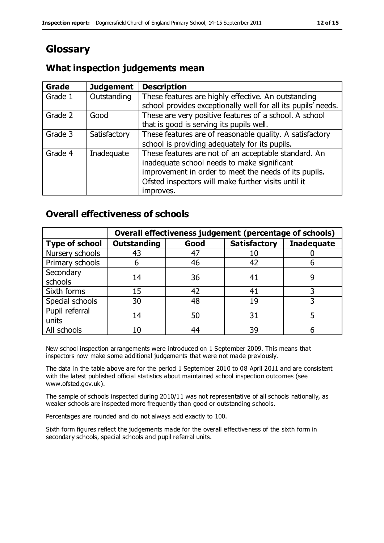# **Glossary**

## **What inspection judgements mean**

| <b>Grade</b> | <b>Judgement</b> | <b>Description</b>                                            |
|--------------|------------------|---------------------------------------------------------------|
| Grade 1      | Outstanding      | These features are highly effective. An outstanding           |
|              |                  | school provides exceptionally well for all its pupils' needs. |
| Grade 2      | Good             | These are very positive features of a school. A school        |
|              |                  | that is good is serving its pupils well.                      |
| Grade 3      | Satisfactory     | These features are of reasonable quality. A satisfactory      |
|              |                  | school is providing adequately for its pupils.                |
| Grade 4      | Inadequate       | These features are not of an acceptable standard. An          |
|              |                  | inadequate school needs to make significant                   |
|              |                  | improvement in order to meet the needs of its pupils.         |
|              |                  | Ofsted inspectors will make further visits until it           |
|              |                  | improves.                                                     |

## **Overall effectiveness of schools**

|                       | Overall effectiveness judgement (percentage of schools) |      |                     |                   |  |
|-----------------------|---------------------------------------------------------|------|---------------------|-------------------|--|
| <b>Type of school</b> | <b>Outstanding</b>                                      | Good | <b>Satisfactory</b> | <b>Inadequate</b> |  |
| Nursery schools       | 43                                                      | 47   | 10                  |                   |  |
| Primary schools       | 6                                                       | 46   | 42                  |                   |  |
| Secondary             | 14                                                      | 36   | 41                  |                   |  |
| schools               |                                                         |      |                     |                   |  |
| Sixth forms           | 15                                                      | 42   | 41                  |                   |  |
| Special schools       | 30                                                      | 48   | 19                  |                   |  |
| Pupil referral        | 14                                                      | 50   | 31                  |                   |  |
| units                 |                                                         |      |                     |                   |  |
| All schools           | 10                                                      | 44   | 39                  |                   |  |

New school inspection arrangements were introduced on 1 September 2009. This means that inspectors now make some additional judgements that were not made previously.

The data in the table above are for the period 1 September 2010 to 08 April 2011 and are consistent with the latest published official statistics about maintained school inspection outcomes (see www.ofsted.gov.uk).

The sample of schools inspected during 2010/11 was not representative of all schools nationally, as weaker schools are inspected more frequently than good or outstanding schools.

Percentages are rounded and do not always add exactly to 100.

Sixth form figures reflect the judgements made for the overall effectiveness of the sixth form in secondary schools, special schools and pupil referral units.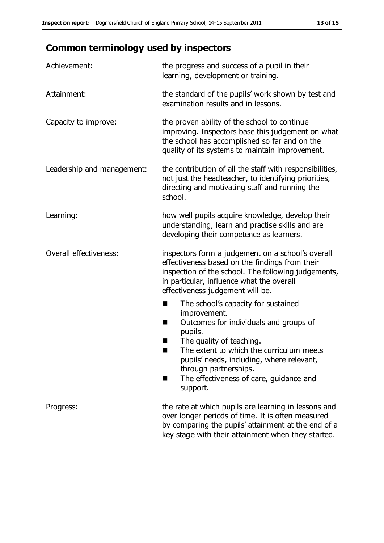# **Common terminology used by inspectors**

| Achievement:               | the progress and success of a pupil in their<br>learning, development or training.                                                                                                                                                                                                                                            |
|----------------------------|-------------------------------------------------------------------------------------------------------------------------------------------------------------------------------------------------------------------------------------------------------------------------------------------------------------------------------|
| Attainment:                | the standard of the pupils' work shown by test and<br>examination results and in lessons.                                                                                                                                                                                                                                     |
| Capacity to improve:       | the proven ability of the school to continue<br>improving. Inspectors base this judgement on what<br>the school has accomplished so far and on the<br>quality of its systems to maintain improvement.                                                                                                                         |
| Leadership and management: | the contribution of all the staff with responsibilities,<br>not just the headteacher, to identifying priorities,<br>directing and motivating staff and running the<br>school.                                                                                                                                                 |
| Learning:                  | how well pupils acquire knowledge, develop their<br>understanding, learn and practise skills and are<br>developing their competence as learners.                                                                                                                                                                              |
| Overall effectiveness:     | inspectors form a judgement on a school's overall<br>effectiveness based on the findings from their<br>inspection of the school. The following judgements,<br>in particular, influence what the overall<br>effectiveness judgement will be.                                                                                   |
|                            | The school's capacity for sustained<br>E<br>improvement.<br>Outcomes for individuals and groups of<br>H<br>pupils.<br>The quality of teaching.<br>The extent to which the curriculum meets<br>pupils' needs, including, where relevant,<br>through partnerships.<br>The effectiveness of care, guidance and<br>H.<br>support. |
| Progress:                  | the rate at which pupils are learning in lessons and<br>over longer periods of time. It is often measured<br>by comparing the pupils' attainment at the end of a<br>key stage with their attainment when they started.                                                                                                        |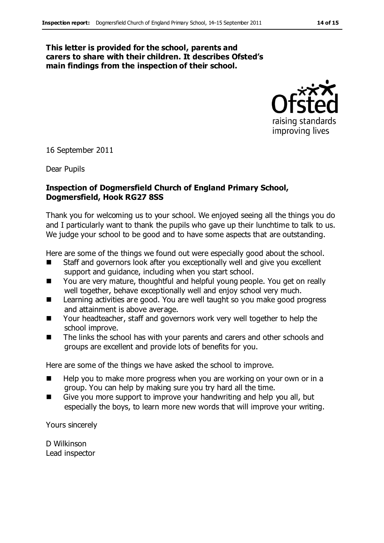#### **This letter is provided for the school, parents and carers to share with their children. It describes Ofsted's main findings from the inspection of their school.**



16 September 2011

Dear Pupils

#### **Inspection of Dogmersfield Church of England Primary School, Dogmersfield, Hook RG27 8SS**

Thank you for welcoming us to your school. We enjoyed seeing all the things you do and I particularly want to thank the pupils who gave up their lunchtime to talk to us. We judge your school to be good and to have some aspects that are outstanding.

Here are some of the things we found out were especially good about the school.

- Staff and governors look after you exceptionally well and give you excellent support and quidance, including when you start school.
- You are very mature, thoughtful and helpful young people. You get on really well together, behave exceptionally well and enjoy school very much.
- Learning activities are good. You are well taught so you make good progress and attainment is above average.
- Your headteacher, staff and governors work very well together to help the school improve.
- The links the school has with your parents and carers and other schools and groups are excellent and provide lots of benefits for you.

Here are some of the things we have asked the school to improve.

- $\blacksquare$  Help you to make more progress when you are working on your own or in a group. You can help by making sure you try hard all the time.
- Give you more support to improve your handwriting and help you all, but especially the boys, to learn more new words that will improve your writing.

Yours sincerely

D Wilkinson Lead inspector